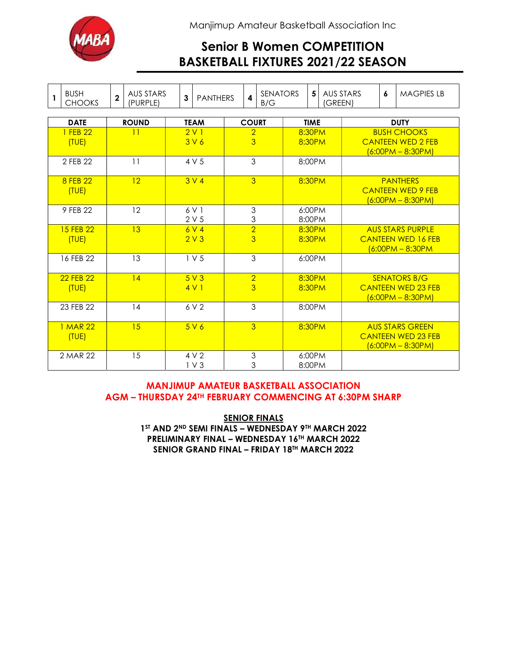

Manjimup Amateur Basketball Association Inc

# Senior B Women COMPETITION BASKETBALL FIXTURES 2021/22 SEASON

| $\mathbf{1}$       | <b>BUSH</b><br><b>CHOOKS</b> | $\overline{2}$ | AUS STARS<br>$\mathbf{3}$<br><b>PANTHERS</b><br>(PURPLE) |                                     | <b>SENATORS</b><br>$\overline{\mathbf{4}}$<br>B/G |                                  |                                  | 5<br><b>AUS STARS</b><br>(GREEN) |                  |                                                                             | 6 | <b>MAGPIES LB</b>                                                          |  |                                                                                  |
|--------------------|------------------------------|----------------|----------------------------------------------------------|-------------------------------------|---------------------------------------------------|----------------------------------|----------------------------------|----------------------------------|------------------|-----------------------------------------------------------------------------|---|----------------------------------------------------------------------------|--|----------------------------------------------------------------------------------|
|                    |                              |                |                                                          |                                     |                                                   |                                  |                                  |                                  |                  |                                                                             |   |                                                                            |  |                                                                                  |
| <b>DATE</b>        |                              | <b>ROUND</b>   |                                                          | <b>TEAM</b>                         |                                                   | <b>COURT</b>                     |                                  | <b>TIME</b>                      |                  | <b>DUTY</b>                                                                 |   |                                                                            |  |                                                                                  |
|                    | 1 FEB 22<br>(TUE)            | 11             |                                                          | 2V1<br>3V6                          |                                                   | $\overline{2}$<br>$\overline{3}$ |                                  | 8:30PM<br>8:30PM                 |                  | <b>BUSH CHOOKS</b><br><b>CANTEEN WED 2 FEB</b><br><u> 16:00PM – 8:30PM)</u> |   |                                                                            |  |                                                                                  |
|                    | 2 FEB 22                     | 11             |                                                          | 4 V 5                               |                                                   | 3                                |                                  | 8:00PM                           |                  |                                                                             |   |                                                                            |  |                                                                                  |
|                    | 8 FEB 22<br>12<br>(TUE)      |                |                                                          | 3 <sub>V</sub> 4                    |                                                   | 3                                |                                  |                                  | 8:30PM           |                                                                             |   | <b>PANTHERS</b><br><b>CANTEEN WED 9 FEB</b><br><u> (6:00PM – 8:30PM)</u>   |  |                                                                                  |
|                    | 9 FFB 22                     | 12             |                                                          | 6 V 1<br>2V <sub>5</sub>            |                                                   | 3<br>3                           |                                  |                                  | 6:00PM<br>8:00PM |                                                                             |   |                                                                            |  |                                                                                  |
| 15 FEB 22<br>(TUE) |                              | 13             |                                                          | 6V <sub>4</sub><br>2V3              |                                                   | $\overline{2}$<br>$\overline{3}$ |                                  |                                  | 8:30PM<br>8:30PM |                                                                             |   | <b>AUS STARS PURPLE</b><br><b>CANTEEN WED 16 FEB</b><br>$(6:00PM - 8:30PM$ |  |                                                                                  |
| 16 FEB 22          |                              | 13             |                                                          | 1 V <sub>5</sub>                    |                                                   | $\mathfrak{S}$                   |                                  |                                  | 6:00PM           |                                                                             |   |                                                                            |  |                                                                                  |
|                    | 22 FEB 22<br>(TUE)           |                | 4                                                        |                                     | 5V3<br>4V1                                        |                                  | $\overline{2}$<br>$\overline{3}$ |                                  |                  | 8:30PM<br>8:30PM                                                            |   | <b>SENATORS B/G</b><br><b>CANTEEN WED 23 FEB</b><br>$(6:00PM - 8:30PM)$    |  |                                                                                  |
|                    | 23 FEB 22                    |                | 14                                                       |                                     | 6 V 2                                             |                                  | 3                                |                                  |                  | 8:00PM                                                                      |   |                                                                            |  |                                                                                  |
|                    | 1 MAR 22<br>(TUE)            |                | 15                                                       | 5V6                                 |                                                   | $\overline{3}$                   |                                  |                                  | 8:30PM           |                                                                             |   |                                                                            |  | <b>AUS STARS GREEN</b><br><b>CANTEEN WED 23 FFB</b><br><u> (6:00PM – 8:30PM)</u> |
| 2 MAR 22           |                              | 15             |                                                          | 4V <sub>2</sub><br>1 <sub>V</sub> 3 |                                                   | 3<br>3                           |                                  |                                  | 6:00PM<br>8:00PM |                                                                             |   |                                                                            |  |                                                                                  |

### MANJIMUP AMATEUR BASKETBALL ASSOCIATION AGM – THURSDAY 24TH FEBRUARY COMMENCING AT 6:30PM SHARP

**SENIOR FINALS** 1ST AND 2ND SEMI FINALS - WEDNESDAY 9TH MARCH 2022 PRELIMINARY FINAL – WEDNESDAY 16TH MARCH 2022 SENIOR GRAND FINAL – FRIDAY 18TH MARCH 2022